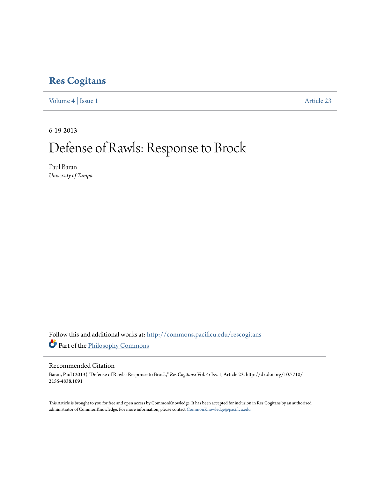# **[Res Cogitans](http://commons.pacificu.edu/rescogitans?utm_source=commons.pacificu.edu%2Frescogitans%2Fvol4%2Fiss1%2F23&utm_medium=PDF&utm_campaign=PDFCoverPages)**

[Volume 4](http://commons.pacificu.edu/rescogitans/vol4?utm_source=commons.pacificu.edu%2Frescogitans%2Fvol4%2Fiss1%2F23&utm_medium=PDF&utm_campaign=PDFCoverPages) | [Issue 1](http://commons.pacificu.edu/rescogitans/vol4/iss1?utm_source=commons.pacificu.edu%2Frescogitans%2Fvol4%2Fiss1%2F23&utm_medium=PDF&utm_campaign=PDFCoverPages) [Article 23](http://commons.pacificu.edu/rescogitans/vol4/iss1/23?utm_source=commons.pacificu.edu%2Frescogitans%2Fvol4%2Fiss1%2F23&utm_medium=PDF&utm_campaign=PDFCoverPages)

6-19-2013

# Defense of Rawls: Response to Brock

Paul Baran *University of Tampa*

Follow this and additional works at: [http://commons.pacificu.edu/rescogitans](http://commons.pacificu.edu/rescogitans?utm_source=commons.pacificu.edu%2Frescogitans%2Fvol4%2Fiss1%2F23&utm_medium=PDF&utm_campaign=PDFCoverPages) Part of the [Philosophy Commons](http://network.bepress.com/hgg/discipline/525?utm_source=commons.pacificu.edu%2Frescogitans%2Fvol4%2Fiss1%2F23&utm_medium=PDF&utm_campaign=PDFCoverPages)

#### Recommended Citation

Baran, Paul (2013) "Defense of Rawls: Response to Brock," *Res Cogitans*: Vol. 4: Iss. 1, Article 23. http://dx.doi.org/10.7710/ 2155-4838.1091

This Article is brought to you for free and open access by CommonKnowledge. It has been accepted for inclusion in Res Cogitans by an authorized administrator of CommonKnowledge. For more information, please contact [CommonKnowledge@pacificu.edu.](mailto:CommonKnowledge@pacificu.edu)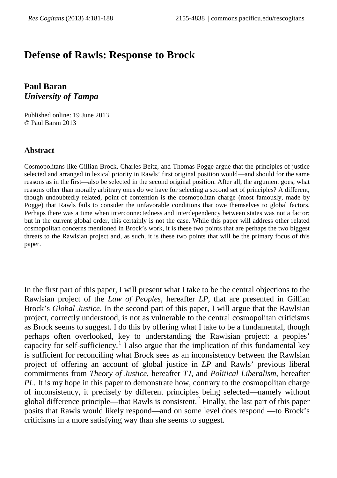# **Defense of Rawls: Response to Brock**

**Paul Baran** *University of Tampa*

Published online: 19 June 2013 © Paul Baran 2013

#### **Abstract**

Cosmopolitans like Gillian Brock, Charles Beitz, and Thomas Pogge argue that the principles of justice selected and arranged in lexical priority in Rawls' first original position would—and should for the same reasons as in the first—also be selected in the second original position. After all, the argument goes, what reasons other than morally arbitrary ones do we have for selecting a second set of principles? A different, though undoubtedly related, point of contention is the cosmopolitan charge (most famously, made by Pogge) that Rawls fails to consider the unfavorable conditions that owe themselves to global factors. Perhaps there was a time when interconnectedness and interdependency between states was not a factor; but in the current global order, this certainly is not the case. While this paper will address other related cosmopolitan concerns mentioned in Brock's work, it is these two points that are perhaps the two biggest threats to the Rawlsian project and, as such, it is these two points that will be the primary focus of this paper.

In the first part of this paper, I will present what I take to be the central objections to the Rawlsian project of the *Law of Peoples*, hereafter *LP*, that are presented in Gillian Brock's *Global Justice*. In the second part of this paper, I will argue that the Rawlsian project, correctly understood, is not as vulnerable to the central cosmopolitan criticisms as Brock seems to suggest. I do this by offering what I take to be a fundamental, though perhaps often overlooked, key to understanding the Rawlsian project: a peoples' capacity for self-sufficiency.<sup>[1](#page-2-0)</sup> I also argue that the implication of this fundamental key is sufficient for reconciling what Brock sees as an inconsistency between the Rawlsian project of offering an account of global justice in *LP* and Rawls' previous liberal commitments from *Theory of Justice*, hereafter *TJ,* and *Political Liberalism*, hereafter *PL*. It is my hope in this paper to demonstrate how, contrary to the cosmopolitan charge of inconsistency, it precisely *by* different principles being selected—namely without global difference principle—that Rawls is consistent.<sup>[2](#page-2-1)</sup> Finally, the last part of this paper posits that Rawls would likely respond—and on some level does respond —to Brock's criticisms in a more satisfying way than she seems to suggest.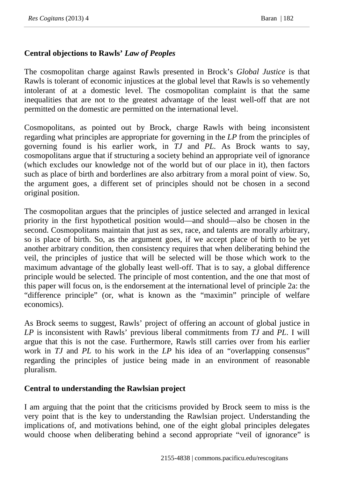## **Central objections to Rawls'** *Law of Peoples*

The cosmopolitan charge against Rawls presented in Brock's *Global Justice* is that Rawls is tolerant of economic injustices at the global level that Rawls is so vehemently intolerant of at a domestic level. The cosmopolitan complaint is that the same inequalities that are not to the greatest advantage of the least well-off that are not permitted on the domestic are permitted on the international level.

<span id="page-2-0"></span>Cosmopolitans, as pointed out by Brock, charge Rawls with being inconsistent regarding what principles are appropriate for governing in the *LP* from the principles of governing found is his earlier work, in *TJ* and *PL.* As Brock wants to say, cosmopolitans argue that if structuring a society behind an appropriate veil of ignorance (which excludes our knowledge not of the world but of our place in it), then factors such as place of birth and borderlines are also arbitrary from a moral point of view. So, the argument goes, a different set of principles should not be chosen in a second original position.

<span id="page-2-1"></span>The cosmopolitan argues that the principles of justice selected and arranged in lexical priority in the first hypothetical position would—and should—also be chosen in the second. Cosmopolitans maintain that just as sex, race, and talents are morally arbitrary, so is place of birth. So, as the argument goes, if we accept place of birth to be yet another arbitrary condition, then consistency requires that when deliberating behind the veil, the principles of justice that will be selected will be those which work to the maximum advantage of the globally least well-off. That is to say, a global difference principle would be selected. The principle of most contention, and the one that most of this paper will focus on, is the endorsement at the international level of principle 2a: the "difference principle" (or, what is known as the "maximin" principle of welfare economics).

As Brock seems to suggest, Rawls' project of offering an account of global justice in *LP* is inconsistent with Rawls' previous liberal commitments from *TJ* and *PL*. I will argue that this is not the case. Furthermore, Rawls still carries over from his earlier work in *TJ* and *PL* to his work in the *LP* his idea of an "overlapping consensus" regarding the principles of justice being made in an environment of reasonable pluralism.

### **Central to understanding the Rawlsian project**

I am arguing that the point that the criticisms provided by Brock seem to miss is the very point that is the key to understanding the Rawlsian project. Understanding the implications of, and motivations behind, one of the eight global principles delegates would choose when deliberating behind a second appropriate "veil of ignorance" is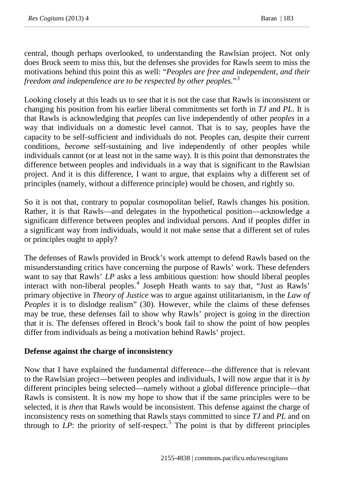central, though perhaps overlooked, to understanding the Rawlsian project. Not only does Brock seem to miss this, but the defenses she provides for Rawls seem to miss the motivations behind this point this as well: "*Peoples are free and independent, and their freedom and independence are to be respected by other peoples.*"[3](#page-3-0)

Looking closely at this leads us to see that it is not the case that Rawls is inconsistent or changing his position from his earlier liberal commitments set forth in *TJ* and *PL*. It is that Rawls is acknowledging that *peoples* can live independently of other *peoples* in a way that individuals on a domestic level cannot. That is to say, peoples have the capacity to be self-sufficient and individuals do not. Peoples can, despite their current conditions, *become* self-sustaining and live independently of other peoples while individuals cannot (or at least not in the same way). It is this point that demonstrates the difference between peoples and individuals in a way that is significant to the Rawlsian project. And it is this difference, I want to argue, that explains why a different set of principles (namely, without a difference principle) would be chosen, and rightly so.

So it is not that, contrary to popular cosmopolitan belief, Rawls changes his position. Rather, it is that Rawls—and delegates in the hypothetical position—acknowledge a significant difference between peoples and individual persons. And if peoples differ in a significant way from individuals, would it not make sense that a different set of rules or principles ought to apply?

<span id="page-3-2"></span><span id="page-3-1"></span><span id="page-3-0"></span>The defenses of Rawls provided in Brock's work attempt to defend Rawls based on the misunderstanding critics have concerning the purpose of Rawls' work. These defenders want to say that Rawls' *LP* asks a less ambitious question: how should liberal peoples interact with non-liberal peoples.[4](#page-3-1) Joseph Heath wants to say that, "Just as Rawls' primary objective in *Theory of Justice* was to argue against utilitarianism, in the *Law of Peoples* it is to dislodge realism" (30). However, while the claims of these defenses may be true, these defenses fail to show why Rawls' project is going in the direction that it is. The defenses offered in Brock's book fail to show the point of how peoples differ from individuals as being a motivation behind Rawls' project.

#### **Defense against the charge of inconsistency**

Now that I have explained the fundamental difference—the difference that is relevant to the Rawlsian project—between peoples and individuals, I will now argue that it is *by* different principles being selected—namely without a global difference principle—that Rawls is consistent. It is now my hope to show that if the same principles were to be selected, it is *then* that Rawls would be inconsistent. This defense against the charge of inconsistency rests on something that Rawls stays committed to since *TJ* and *PL* and on through to  $LP$ : the priority of self-respect.<sup>[5](#page-3-2)</sup> The point is that by different principles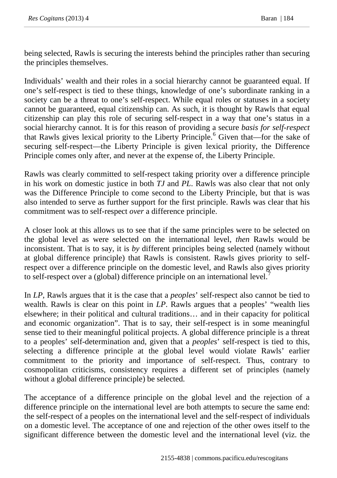being selected, Rawls is securing the interests behind the principles rather than securing the principles themselves.

Individuals' wealth and their roles in a social hierarchy cannot be guaranteed equal. If one's self-respect is tied to these things, knowledge of one's subordinate ranking in a society can be a threat to one's self-respect. While equal roles or statuses in a society cannot be guaranteed, equal citizenship can. As such, it is thought by Rawls that equal citizenship can play this role of securing self-respect in a way that one's status in a social hierarchy cannot. It is for this reason of providing a secure *basis for self-respect* that Rawls gives lexical priority to the Liberty Principle.<sup>[6](#page-4-0)</sup> Given that—for the sake of securing self-respect—the Liberty Principle is given lexical priority, the Difference Principle comes only after, and never at the expense of, the Liberty Principle.

Rawls was clearly committed to self-respect taking priority over a difference principle in his work on domestic justice in both *TJ* and *PL*. Rawls was also clear that not only was the Difference Principle to come second to the Liberty Principle, but that is was also intended to serve as further support for the first principle. Rawls was clear that his commitment was to self-respect *over* a difference principle.

A closer look at this allows us to see that if the same principles were to be selected on the global level as were selected on the international level, *then* Rawls would be inconsistent. That is to say, it is *by* different principles being selected (namely without at global difference principle) that Rawls is consistent. Rawls gives priority to selfrespect over a difference principle on the domestic level, and Rawls also gives priority to self-respect over a (global) difference principle on an international level.<sup>[7](#page-4-1)</sup>

In *LP*, Rawls argues that it is the case that a *peoples*' self-respect also cannot be tied to wealth. Rawls is clear on this point in *LP*. Rawls argues that a peoples' "wealth lies elsewhere; in their political and cultural traditions… and in their capacity for political and economic organization". That is to say, their self-respect is in some meaningful sense tied to their meaningful political projects. A global difference principle is a threat to a peoples' self-determination and, given that a *peoples*' self-respect is tied to this, selecting a difference principle at the global level would violate Rawls' earlier commitment to the priority and importance of self-respect. Thus, contrary to cosmopolitan criticisms, consistency requires a different set of principles (namely without a global difference principle) be selected.

<span id="page-4-1"></span><span id="page-4-0"></span>The acceptance of a difference principle on the global level and the rejection of a difference principle on the international level are both attempts to secure the same end: the self-respect of a peoples on the international level and the self-respect of individuals on a domestic level. The acceptance of one and rejection of the other owes itself to the significant difference between the domestic level and the international level (viz. the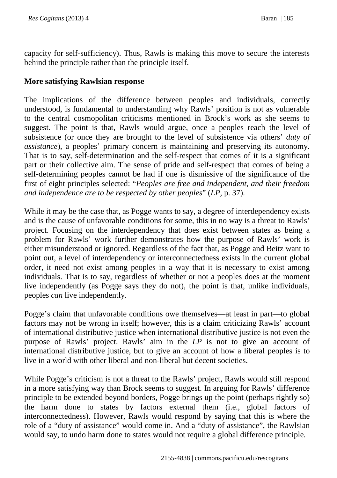capacity for self-sufficiency). Thus, Rawls is making this move to secure the interests behind the principle rather than the principle itself.

### **More satisfying Rawlsian response**

The implications of the difference between peoples and individuals, correctly understood, is fundamental to understanding why Rawls' position is not as vulnerable to the central cosmopolitan criticisms mentioned in Brock's work as she seems to suggest. The point is that, Rawls would argue, once a peoples reach the level of subsistence (or once they are brought to the level of subsistence via others' *duty of assistance*), a peoples' primary concern is maintaining and preserving its autonomy. That is to say, self-determination and the self-respect that comes of it is a significant part or their collective aim. The sense of pride and self-respect that comes of being a self-determining peoples cannot be had if one is dismissive of the significance of the first of eight principles selected: "*Peoples are free and independent, and their freedom and independence are to be respected by other peoples*" (*LP*, p. 37).

While it may be the case that, as Pogge wants to say, a degree of interdependency exists and is the cause of unfavorable conditions for some, this in no way is a threat to Rawls' project. Focusing on the interdependency that does exist between states as being a problem for Rawls' work further demonstrates how the purpose of Rawls' work is either misunderstood or ignored. Regardless of the fact that, as Pogge and Beitz want to point out, a level of interdependency or interconnectedness exists in the current global order, it need not exist among peoples in a way that it is necessary to exist among individuals. That is to say, regardless of whether or not a peoples does at the moment live independently (as Pogge says they do not), the point is that, unlike individuals, peoples *can* live independently.

Pogge's claim that unfavorable conditions owe themselves—at least in part—to global factors may not be wrong in itself; however, this is a claim criticizing Rawls' account of international distributive justice when international distributive justice is not even the purpose of Rawls' project. Rawls' aim in the *LP* is not to give an account of international distributive justice, but to give an account of how a liberal peoples is to live in a world with other liberal and non-liberal but decent societies.

While Pogge's criticism is not a threat to the Rawls' project, Rawls would still respond in a more satisfying way than Brock seems to suggest. In arguing for Rawls' difference principle to be extended beyond borders, Pogge brings up the point (perhaps rightly so) the harm done to states by factors external them (i.e., global factors of interconnectedness). However, Rawls would respond by saying that this is where the role of a "duty of assistance" would come in. And a "duty of assistance", the Rawlsian would say, to undo harm done to states would not require a global difference principle.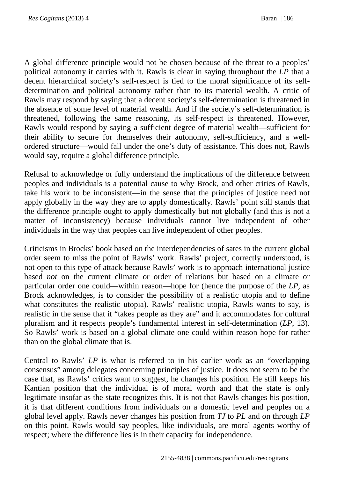A global difference principle would not be chosen because of the threat to a peoples' political autonomy it carries with it. Rawls is clear in saying throughout the *LP* that a decent hierarchical society's self-respect is tied to the moral significance of its selfdetermination and political autonomy rather than to its material wealth. A critic of Rawls may respond by saying that a decent society's self-determination is threatened in the absence of some level of material wealth. And if the society's self-determination is threatened, following the same reasoning, its self-respect is threatened. However, Rawls would respond by saying a sufficient degree of material wealth—sufficient for their ability to secure for themselves their autonomy, self-sufficiency, and a wellordered structure—would fall under the one's duty of assistance. This does not, Rawls would say, require a global difference principle.

Refusal to acknowledge or fully understand the implications of the difference between peoples and individuals is a potential cause to why Brock, and other critics of Rawls, take his work to be inconsistent—in the sense that the principles of justice need not apply globally in the way they are to apply domestically. Rawls' point still stands that the difference principle ought to apply domestically but not globally (and this is not a matter of inconsistency) because individuals cannot live independent of other individuals in the way that peoples can live independent of other peoples.

Criticisms in Brocks' book based on the interdependencies of sates in the current global order seem to miss the point of Rawls' work. Rawls' project, correctly understood, is not open to this type of attack because Rawls' work is to approach international justice based *not* on the current climate or order of relations but based on a climate or particular order one could—within reason—hope for (hence the purpose of the *LP*, as Brock acknowledges, is to consider the possibility of a realistic utopia and to define what constitutes the realistic utopia). Rawls' realistic utopia, Rawls wants to say, is realistic in the sense that it "takes people as they are" and it accommodates for cultural pluralism and it respects people's fundamental interest in self-determination (*LP*, 13). So Rawls' work is based on a global climate one could within reason hope for rather than on the global climate that is.

Central to Rawls' *LP* is what is referred to in his earlier work as an "overlapping consensus" among delegates concerning principles of justice. It does not seem to be the case that, as Rawls' critics want to suggest, he changes his position. He still keeps his Kantian position that the individual is of moral worth and that the state is only legitimate insofar as the state recognizes this. It is not that Rawls changes his position, it is that different conditions from individuals on a domestic level and peoples on a global level apply. Rawls never changes his position from *TJ* to *PL* and on through *LP* on this point. Rawls would say peoples, like individuals, are moral agents worthy of respect; where the difference lies is in their capacity for independence.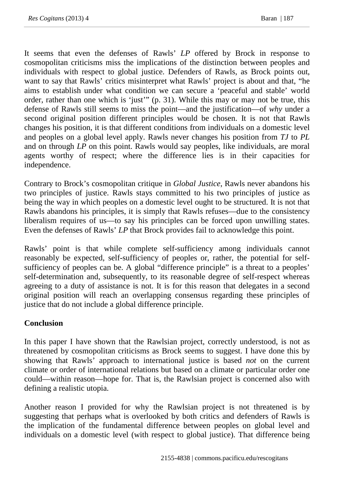It seems that even the defenses of Rawls' *LP* offered by Brock in response to cosmopolitan criticisms miss the implications of the distinction between peoples and individuals with respect to global justice. Defenders of Rawls, as Brock points out, want to say that Rawls' critics misinterpret what Rawls' project is about and that, "he aims to establish under what condition we can secure a 'peaceful and stable' world order, rather than one which is 'just'" (p. 31). While this may or may not be true, this defense of Rawls still seems to miss the point—and the justification—of *why* under a second original position different principles would be chosen. It is not that Rawls changes his position, it is that different conditions from individuals on a domestic level and peoples on a global level apply. Rawls never changes his position from *TJ* to *PL* and on through *LP* on this point. Rawls would say peoples, like individuals, are moral agents worthy of respect; where the difference lies is in their capacities for independence.

Contrary to Brock's cosmopolitan critique in *Global Justice*, Rawls never abandons his two principles of justice. Rawls stays committed to his two principles of justice as being the way in which peoples on a domestic level ought to be structured. It is not that Rawls abandons his principles, it is simply that Rawls refuses—due to the consistency liberalism requires of us—to say his principles can be forced upon unwilling states. Even the defenses of Rawls' *LP* that Brock provides fail to acknowledge this point.

Rawls' point is that while complete self-sufficiency among individuals cannot reasonably be expected, self-sufficiency of peoples or, rather, the potential for selfsufficiency of peoples can be. A global "difference principle" is a threat to a peoples' self-determination and, subsequently, to its reasonable degree of self-respect whereas agreeing to a duty of assistance is not. It is for this reason that delegates in a second original position will reach an overlapping consensus regarding these principles of justice that do not include a global difference principle.

## **Conclusion**

In this paper I have shown that the Rawlsian project, correctly understood, is not as threatened by cosmopolitan criticisms as Brock seems to suggest. I have done this by showing that Rawls' approach to international justice is based *not* on the current climate or order of international relations but based on a climate or particular order one could—within reason—hope for. That is, the Rawlsian project is concerned also with defining a realistic utopia.

Another reason I provided for why the Rawlsian project is not threatened is by suggesting that perhaps what is overlooked by both critics and defenders of Rawls is the implication of the fundamental difference between peoples on global level and individuals on a domestic level (with respect to global justice). That difference being